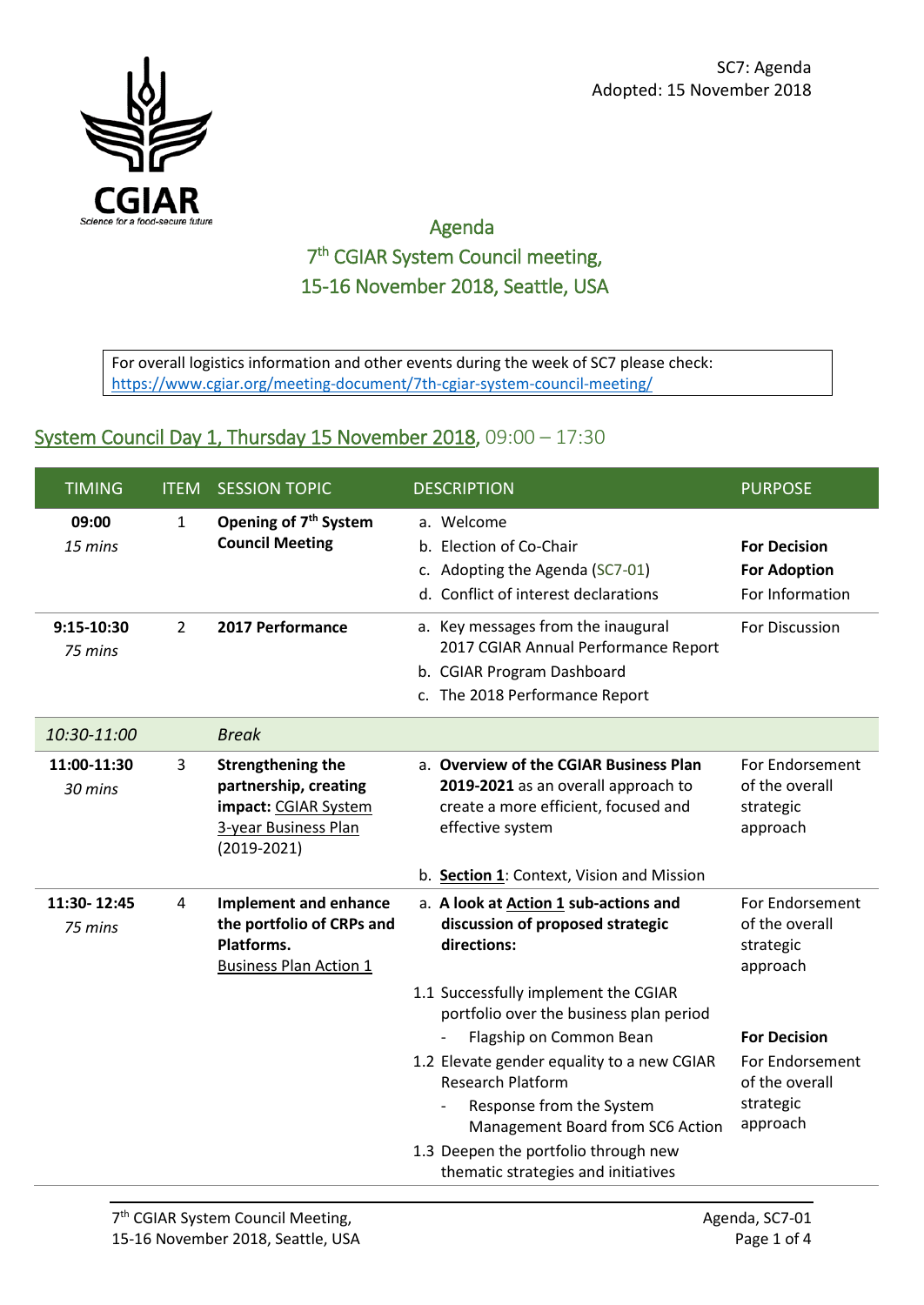

## Agenda 7th CGIAR System Council meeting, 15-16 November 2018, Seattle, USA

For overall logistics information and other events during the week of SC7 please check: <https://www.cgiar.org/meeting-document/7th-cgiar-system-council-meeting/>

## System Council Day 1, Thursday 15 November 2018, 09:00 - 17:30

| <b>TIMING</b>          | <b>ITEM</b>    | <b>SESSION TOPIC</b>                                                                                        | <b>DESCRIPTION</b>                                                                                                                         | <b>PURPOSE</b>                                                |
|------------------------|----------------|-------------------------------------------------------------------------------------------------------------|--------------------------------------------------------------------------------------------------------------------------------------------|---------------------------------------------------------------|
| 09:00<br>15 mins       | $\mathbf{1}$   | Opening of 7 <sup>th</sup> System<br><b>Council Meeting</b>                                                 | a. Welcome<br>b. Election of Co-Chair<br>c. Adopting the Agenda (SC7-01)<br>d. Conflict of interest declarations                           | <b>For Decision</b><br><b>For Adoption</b><br>For Information |
| 9:15-10:30<br>75 mins  | $\overline{2}$ | 2017 Performance                                                                                            | a. Key messages from the inaugural<br>2017 CGIAR Annual Performance Report<br>b. CGIAR Program Dashboard<br>c. The 2018 Performance Report | For Discussion                                                |
| 10:30-11:00            |                | <b>Break</b>                                                                                                |                                                                                                                                            |                                                               |
| 11:00-11:30<br>30 mins | 3              | Strengthening the<br>partnership, creating<br>impact: CGIAR System<br>3-year Business Plan<br>$(2019-2021)$ | a. Overview of the CGIAR Business Plan<br>2019-2021 as an overall approach to<br>create a more efficient, focused and<br>effective system  | For Endorsement<br>of the overall<br>strategic<br>approach    |
| 11:30-12:45<br>75 mins | 4              | <b>Implement and enhance</b><br>the portfolio of CRPs and<br>Platforms.<br><b>Business Plan Action 1</b>    | b. Section 1: Context, Vision and Mission<br>a. A look at Action 1 sub-actions and<br>discussion of proposed strategic<br>directions:      | For Endorsement<br>of the overall<br>strategic<br>approach    |
|                        |                |                                                                                                             | 1.1 Successfully implement the CGIAR<br>portfolio over the business plan period                                                            |                                                               |
|                        |                |                                                                                                             | Flagship on Common Bean                                                                                                                    | <b>For Decision</b>                                           |
|                        |                |                                                                                                             | 1.2 Elevate gender equality to a new CGIAR<br><b>Research Platform</b><br>Response from the System<br>Management Board from SC6 Action     | For Endorsement<br>of the overall<br>strategic<br>approach    |
|                        |                |                                                                                                             | 1.3 Deepen the portfolio through new<br>thematic strategies and initiatives                                                                |                                                               |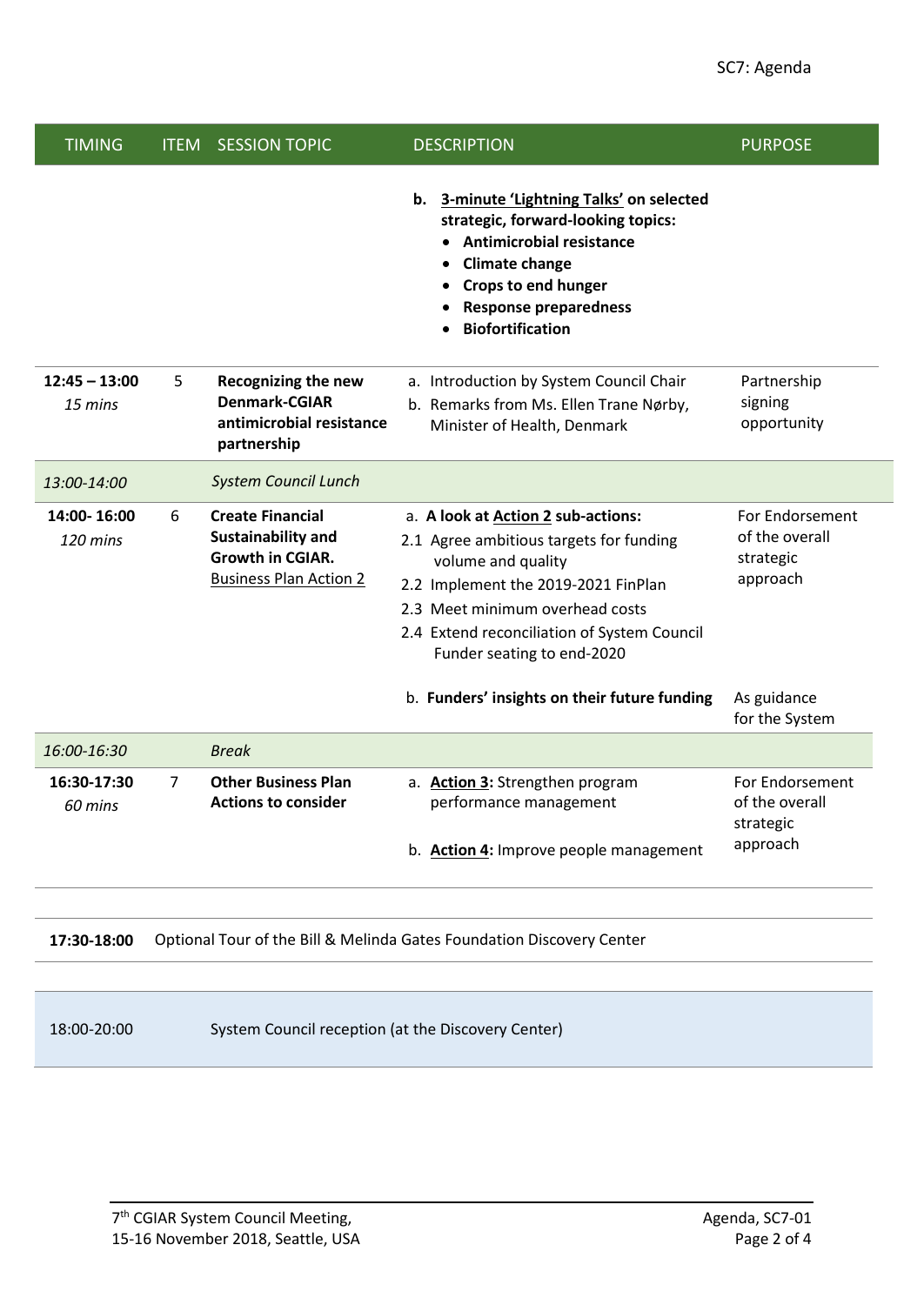| <b>TIMING</b>              | <b>ITEM</b>                                                           | <b>SESSION TOPIC</b>                                                                                             | <b>DESCRIPTION</b>                                                                                                                                                                                                                                         | <b>PURPOSE</b>                                             |  |
|----------------------------|-----------------------------------------------------------------------|------------------------------------------------------------------------------------------------------------------|------------------------------------------------------------------------------------------------------------------------------------------------------------------------------------------------------------------------------------------------------------|------------------------------------------------------------|--|
|                            |                                                                       |                                                                                                                  | b. 3-minute 'Lightning Talks' on selected<br>strategic, forward-looking topics:<br><b>Antimicrobial resistance</b><br><b>Climate change</b><br><b>Crops to end hunger</b><br><b>Response preparedness</b><br><b>Biofortification</b>                       |                                                            |  |
| $12:45 - 13:00$<br>15 mins | 5                                                                     | <b>Recognizing the new</b><br><b>Denmark-CGIAR</b><br>antimicrobial resistance<br>partnership                    | a. Introduction by System Council Chair<br>b. Remarks from Ms. Ellen Trane Nørby,<br>Minister of Health, Denmark                                                                                                                                           | Partnership<br>signing<br>opportunity                      |  |
| 13:00-14:00                |                                                                       | <b>System Council Lunch</b>                                                                                      |                                                                                                                                                                                                                                                            |                                                            |  |
| 14:00-16:00<br>120 mins    | 6                                                                     | <b>Create Financial</b><br><b>Sustainability and</b><br><b>Growth in CGIAR.</b><br><b>Business Plan Action 2</b> | a. A look at Action 2 sub-actions:<br>2.1 Agree ambitious targets for funding<br>volume and quality<br>2.2 Implement the 2019-2021 FinPlan<br>2.3 Meet minimum overhead costs<br>2.4 Extend reconciliation of System Council<br>Funder seating to end-2020 | For Endorsement<br>of the overall<br>strategic<br>approach |  |
|                            |                                                                       |                                                                                                                  | b. Funders' insights on their future funding                                                                                                                                                                                                               | As guidance<br>for the System                              |  |
| 16:00-16:30                |                                                                       | <b>Break</b>                                                                                                     |                                                                                                                                                                                                                                                            |                                                            |  |
| 16:30-17:30<br>60 mins     | 7                                                                     | <b>Other Business Plan</b><br><b>Actions to consider</b>                                                         | a. <b>Action 3:</b> Strengthen program<br>performance management<br>b. Action 4: Improve people management                                                                                                                                                 | For Endorsement<br>of the overall<br>strategic<br>approach |  |
|                            |                                                                       |                                                                                                                  |                                                                                                                                                                                                                                                            |                                                            |  |
| 17:30-18:00                | Optional Tour of the Bill & Melinda Gates Foundation Discovery Center |                                                                                                                  |                                                                                                                                                                                                                                                            |                                                            |  |
| 18:00-20:00                | System Council reception (at the Discovery Center)                    |                                                                                                                  |                                                                                                                                                                                                                                                            |                                                            |  |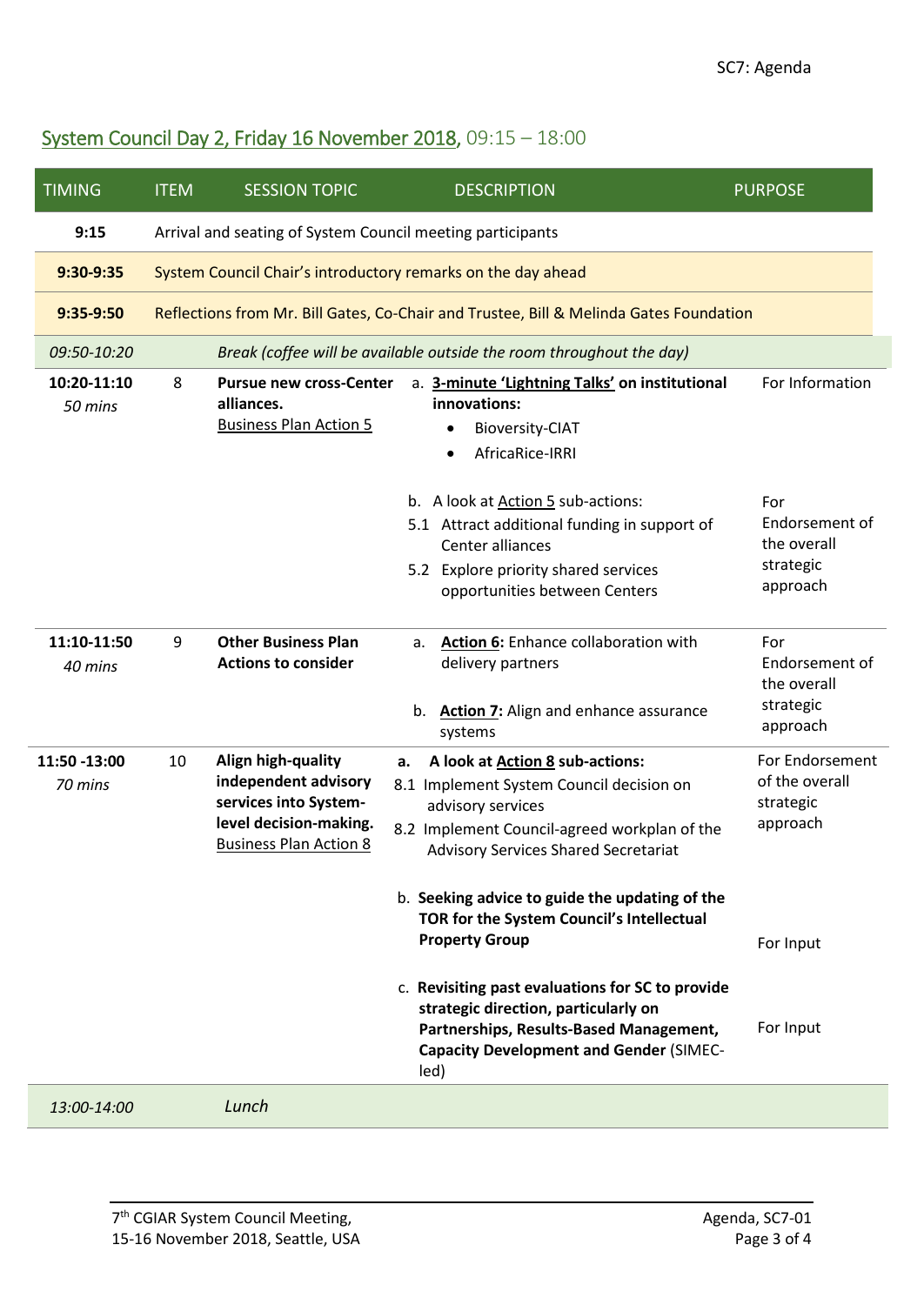## System Council Day 2, Friday 16 November 2018, 09:15 – 18:00

| <b>TIMING</b>           | <b>ITEM</b>                                                  | <b>SESSION TOPIC</b>                                                                                                           | <b>DESCRIPTION</b>                                                                                                                                                                                                                                                                                                                                                                                                                                                                                                             | <b>PURPOSE</b>                                                                       |  |  |
|-------------------------|--------------------------------------------------------------|--------------------------------------------------------------------------------------------------------------------------------|--------------------------------------------------------------------------------------------------------------------------------------------------------------------------------------------------------------------------------------------------------------------------------------------------------------------------------------------------------------------------------------------------------------------------------------------------------------------------------------------------------------------------------|--------------------------------------------------------------------------------------|--|--|
| 9:15                    | Arrival and seating of System Council meeting participants   |                                                                                                                                |                                                                                                                                                                                                                                                                                                                                                                                                                                                                                                                                |                                                                                      |  |  |
| $9:30-9:35$             | System Council Chair's introductory remarks on the day ahead |                                                                                                                                |                                                                                                                                                                                                                                                                                                                                                                                                                                                                                                                                |                                                                                      |  |  |
| 9:35-9:50               |                                                              | Reflections from Mr. Bill Gates, Co-Chair and Trustee, Bill & Melinda Gates Foundation                                         |                                                                                                                                                                                                                                                                                                                                                                                                                                                                                                                                |                                                                                      |  |  |
| 09:50-10:20             |                                                              | Break (coffee will be available outside the room throughout the day)                                                           |                                                                                                                                                                                                                                                                                                                                                                                                                                                                                                                                |                                                                                      |  |  |
| 10:20-11:10<br>50 mins  | 8                                                            | <b>Pursue new cross-Center</b><br>alliances.<br><b>Business Plan Action 5</b>                                                  | a. 3-minute 'Lightning Talks' on institutional<br>innovations:<br><b>Bioversity-CIAT</b><br>$\bullet$<br>AfricaRice-IRRI<br>$\bullet$                                                                                                                                                                                                                                                                                                                                                                                          | For Information                                                                      |  |  |
|                         |                                                              |                                                                                                                                | b. A look at Action 5 sub-actions:<br>5.1 Attract additional funding in support of<br>Center alliances<br>5.2 Explore priority shared services<br>opportunities between Centers                                                                                                                                                                                                                                                                                                                                                | For<br>Endorsement of<br>the overall<br>strategic<br>approach                        |  |  |
| 11:10-11:50<br>40 mins  | 9                                                            | <b>Other Business Plan</b><br><b>Actions to consider</b>                                                                       | Action 6: Enhance collaboration with<br>a.<br>delivery partners<br>Action 7: Align and enhance assurance<br>b.<br>systems                                                                                                                                                                                                                                                                                                                                                                                                      | For<br>Endorsement of<br>the overall<br>strategic<br>approach                        |  |  |
| 11:50 -13:00<br>70 mins | 10                                                           | Align high-quality<br>independent advisory<br>services into System-<br>level decision-making.<br><b>Business Plan Action 8</b> | A look at Action 8 sub-actions:<br>a.<br>8.1 Implement System Council decision on<br>advisory services<br>8.2 Implement Council-agreed workplan of the<br><b>Advisory Services Shared Secretariat</b><br>b. Seeking advice to guide the updating of the<br>TOR for the System Council's Intellectual<br><b>Property Group</b><br>c. Revisiting past evaluations for SC to provide<br>strategic direction, particularly on<br>Partnerships, Results-Based Management,<br><b>Capacity Development and Gender (SIMEC-</b><br>led) | For Endorsement<br>of the overall<br>strategic<br>approach<br>For Input<br>For Input |  |  |
| 13:00-14:00             |                                                              | Lunch                                                                                                                          |                                                                                                                                                                                                                                                                                                                                                                                                                                                                                                                                |                                                                                      |  |  |